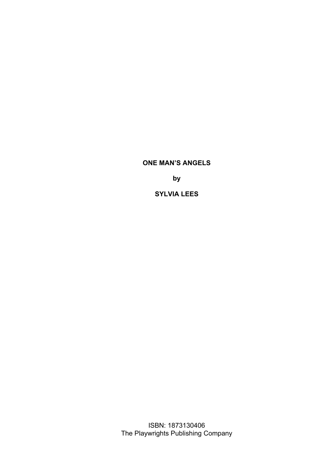**by**

**SYLVIA LEES**

ISBN: 1873130406 The Playwrights Publishing Company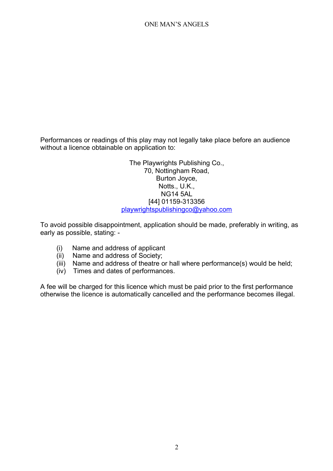Performances or readings of this play may not legally take place before an audience without a licence obtainable on application to:

> The Playwrights Publishing Co., 70, Nottingham Road, Burton Joyce, Notts., U.K., NG14 5AL [44] 01159-313356 [playwrightspublishingco@yahoo.com](mailto:playwrightspublishingco@yahoo.com)

To avoid possible disappointment, application should be made, preferably in writing, as early as possible, stating: -

- (i) Name and address of applicant
- (ii) Name and address of Society;
- (iii) Name and address of theatre or hall where performance(s) would be held;
- (iv) Times and dates of performances.

A fee will be charged for this licence which must be paid prior to the first performance otherwise the licence is automatically cancelled and the performance becomes illegal.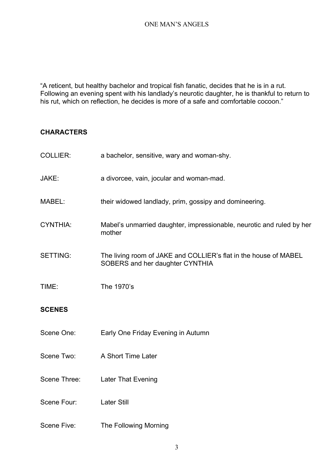"A reticent, but healthy bachelor and tropical fish fanatic, decides that he is in a rut. Following an evening spent with his landlady's neurotic daughter, he is thankful to return to his rut, which on reflection, he decides is more of a safe and comfortable cocoon."

# **CHARACTERS**

| <b>COLLIER:</b> | a bachelor, sensitive, wary and woman-shy.                                                          |
|-----------------|-----------------------------------------------------------------------------------------------------|
| JAKE:           | a divorcee, vain, jocular and woman-mad.                                                            |
| MABEL:          | their widowed landlady, prim, gossipy and domineering.                                              |
| <b>CYNTHIA:</b> | Mabel's unmarried daughter, impressionable, neurotic and ruled by her<br>mother                     |
| <b>SETTING:</b> | The living room of JAKE and COLLIER's flat in the house of MABEL<br>SOBERS and her daughter CYNTHIA |
| TIME:           | The 1970's                                                                                          |
| <b>SCENES</b>   |                                                                                                     |
| Scene One:      | Early One Friday Evening in Autumn                                                                  |
| Scene Two:      | A Short Time Later                                                                                  |
| Scene Three:    | Later That Evening                                                                                  |
| Scene Four:     | <b>Later Still</b>                                                                                  |
| Scene Five:     | The Following Morning                                                                               |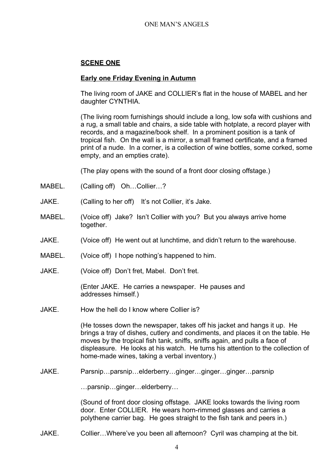# **SCENE ONE**

## **Early one Friday Evening in Autumn**

The living room of JAKE and COLLIER's flat in the house of MABEL and her daughter CYNTHIA.

(The living room furnishings should include a long, low sofa with cushions and a rug, a small table and chairs, a side table with hotplate, a record player with records, and a magazine/book shelf. In a prominent position is a tank of tropical fish. On the wall is a mirror, a small framed certificate, and a framed print of a nude. In a corner, is a collection of wine bottles, some corked, some empty, and an empties crate).

(The play opens with the sound of a front door closing offstage.)

- MABEL. (Calling off) Oh...Collier...?
- JAKE. (Calling to her off) It's not Collier, it's Jake.
- MABEL. (Voice off) Jake? Isn't Collier with you? But you always arrive home together.
- JAKE. (Voice off) He went out at lunchtime, and didn't return to the warehouse.
- MABEL. (Voice off) I hope nothing's happened to him.
- JAKE. (Voice off) Don't fret, Mabel. Don't fret.

(Enter JAKE. He carries a newspaper. He pauses and addresses himself.)

JAKE. How the hell do I know where Collier is?

(He tosses down the newspaper, takes off his jacket and hangs it up. He brings a tray of dishes, cutlery and condiments, and places it on the table. He moves by the tropical fish tank, sniffs, sniffs again, and pulls a face of displeasure. He looks at his watch. He turns his attention to the collection of home-made wines, taking a verbal inventory.)

JAKE. Parsnip…parsnip…elderberry…ginger…ginger…ginger…parsnip

…parsnip…ginger…elderberry…

(Sound of front door closing offstage. JAKE looks towards the living room door. Enter COLLIER. He wears horn-rimmed glasses and carries a polythene carrier bag. He goes straight to the fish tank and peers in.)

JAKE. Collier…Where've you been all afternoon? Cyril was champing at the bit.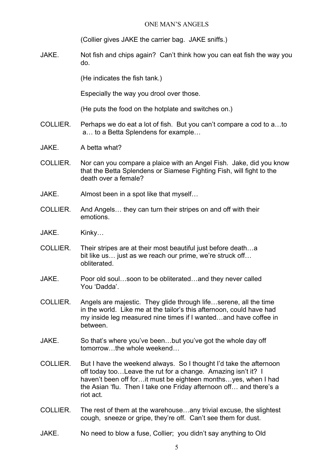(Collier gives JAKE the carrier bag. JAKE sniffs.)

JAKE. Not fish and chips again? Can't think how you can eat fish the way you do.

(He indicates the fish tank.)

Especially the way you drool over those.

(He puts the food on the hotplate and switches on.)

- COLLIER. Perhaps we do eat a lot of fish. But you can't compare a cod to a…to a… to a Betta Splendens for example…
- JAKE. A betta what?
- COLLIER. Nor can you compare a plaice with an Angel Fish. Jake, did you know that the Betta Splendens or Siamese Fighting Fish, will fight to the death over a female?
- JAKE. Almost been in a spot like that myself…
- COLLIER. And Angels… they can turn their stripes on and off with their emotions.
- JAKE. Kinky…
- COLLIER. Their stripes are at their most beautiful just before death…a bit like us… just as we reach our prime, we're struck off… obliterated.
- JAKE. Poor old soul…soon to be obliterated…and they never called You 'Dadda'.
- COLLIER. Angels are majestic. They glide through life…serene, all the time in the world. Like me at the tailor's this afternoon, could have had my inside leg measured nine times if I wanted…and have coffee in between.
- JAKE. So that's where you've been…but you've got the whole day off tomorrow the whole weekend
- COLLIER. But I have the weekend always. So I thought I'd take the afternoon off today too…Leave the rut for a change. Amazing isn't it? I haven't been off for... it must be eighteen months... yes, when I had the Asian 'flu. Then I take one Friday afternoon off… and there's a riot act.
- COLLIER. The rest of them at the warehouse…any trivial excuse, the slightest cough, sneeze or gripe, they're off. Can't see them for dust.
- JAKE. No need to blow a fuse, Collier; you didn't say anything to Old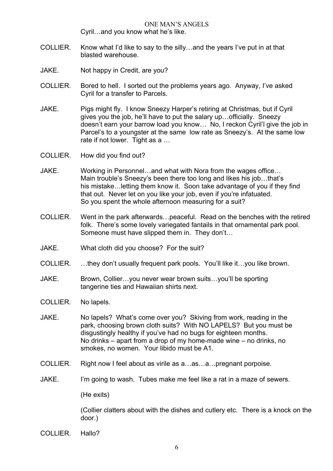ONE MAN'S ANGELS Cyril…and you know what he's like.

- COLLIER. Know what I'd like to say to the silly…and the years I've put in at that blasted warehouse.
- JAKE. Not happy in Credit, are you?
- COLLIER. Bored to hell. I sorted out the problems years ago. Anyway, I've asked Cyril for a transfer to Parcels.
- JAKE. Pigs might fly. I know Sneezy Harper's retiring at Christmas, but if Cyril gives you the job, he'll have to put the salary up…officially. Sneezy doesn't earn your barrow load you know… No, I reckon Cyril'l give the job in Parcel's to a youngster at the same low rate as Sneezy's. At the same low rate if not lower. Tight as a …
- COLLIER. How did you find out?
- JAKE. Working in Personnel…and what with Nora from the wages office… Main trouble's Sneezy's been there too long and likes his job…that's his mistake... letting them know it. Soon take advantage of you if they find that out. Never let on you like your job, even if you're infatuated. So you spent the whole afternoon measuring for a suit?
- COLLIER. Went in the park afterwards…peaceful. Read on the benches with the retired folk. There's some lovely variegated fantails in that ornamental park pool. Someone must have slipped them in. They don't…
- JAKE. What cloth did you choose? For the suit?
- COLLIER. …they don't usually frequent park pools. You'll like it…you like brown.
- JAKE. Brown, Collier…you never wear brown suits…you'll be sporting tangerine ties and Hawaiian shirts next.
- COLLIER. No lapels.
- JAKE. No lapels? What's come over you? Skiving from work, reading in the park, choosing brown cloth suits? With NO LAPELS? But you must be disgustingly healthy if you've had no bugs for eighteen months. No drinks – apart from a drop of my home-made wine – no drinks, no smokes, no women. Your libido must be A1.
- COLLIER. Right now I feel about as virile as a…as…a…pregnant porpoise.
- JAKE. I'm going to wash. Tubes make me feel like a rat in a maze of sewers.

(He exits)

(Collier clatters about with the dishes and cutlery etc. There is a knock on the door.)

COLLIER. Hallo?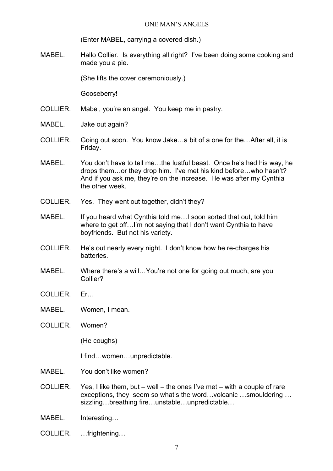(Enter MABEL, carrying a covered dish.)

MABEL. Hallo Collier. Is everything all right? I've been doing some cooking and made you a pie.

(She lifts the cover ceremoniously.)

Gooseberry!

- COLLIER. Mabel, you're an angel. You keep me in pastry.
- MABEL. Jake out again?
- COLLIER. Going out soon. You know Jake…a bit of a one for the…After all, it is Friday.
- MABEL. You don't have to tell me…the lustful beast. Once he's had his way, he drops them…or they drop him. I've met his kind before…who hasn't? And if you ask me, they're on the increase. He was after my Cynthia the other week.
- COLLIER. Yes. They went out together, didn't they?
- MABEL. If you heard what Cynthia told me... I soon sorted that out, told him where to get off...I'm not saying that I don't want Cynthia to have boyfriends. But not his variety.
- COLLIER. He's out nearly every night. I don't know how he re-charges his **batteries**
- MABEL. Where there's a will…You're not one for going out much, are you Collier?
- COLLIER. Er…
- MABEL. Women, I mean.
- COLLIER. Women?

(He coughs)

I find…women…unpredictable.

- MABEL. You don't like women?
- COLLIER. Yes, I like them, but well the ones I've met with a couple of rare exceptions, they seem so what's the word…volcanic …smouldering … sizzling…breathing fire…unstable…unpredictable…
- MABEL. Interesting…
- COLLIER. …frightening…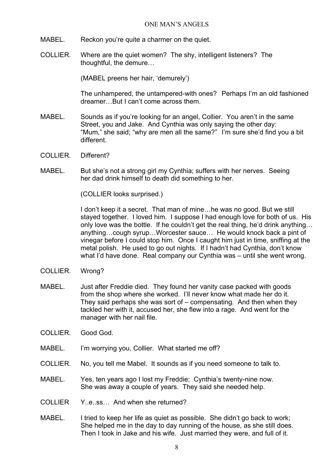- MABEL. Reckon you're quite a charmer on the quiet.
- COLLIER. Where are the quiet women? The shy, intelligent listeners? The thoughtful, the demure…

(MABEL preens her hair, 'demurely')

The unhampered, the untampered-with ones? Perhaps I'm an old fashioned dreamer…But I can't come across them.

- MABEL. Sounds as if you're looking for an angel, Collier. You aren't in the same Street, you and Jake. And Cynthia was only saying the other day: "Mum," she said; "why are men all the same?" I'm sure she'd find you a bit different.
- COLLIER. Different?
- MABEL. But she's not a strong girl my Cynthia; suffers with her nerves. Seeing her dad drink himself to death did something to her.

(COLLIER looks surprised.)

I don't keep it a secret. That man of mine...he was no good. But we still stayed together. I loved him. I suppose I had enough love for both of us. His only love was the bottle. If he couldn't get the real thing, he'd drink anything… anything…cough syrup…Worcester sauce… He would knock back a pint of vinegar before I could stop him. Once I caught him just in time, sniffing at the metal polish. He used to go out nights. If I hadn't had Cynthia, don't know what I'd have done. Real company our Cynthia was – until she went wrong.

- COLLIER. Wrong?
- MABEL. Just after Freddie died. They found her vanity case packed with goods from the shop where she worked. I'll never know what made her do it. They said perhaps she was sort of – compensating. And then when they tackled her with it, accused her, she flew into a rage. And went for the manager with her nail file.
- COLLIER. Good God.
- MABEL. I'm worrying you, Collier. What started me off?
- COLLIER. No, you tell me Mabel. It sounds as if you need someone to talk to.
- MABEL. Yes, ten years ago I lost my Freddie; Cynthia's twenty-nine now. She was away a couple of years. They said she needed help.
- COLLIER Y..e..ss… And when she returned?
- MABEL. I tried to keep her life as quiet as possible. She didn't go back to work; She helped me in the day to day running of the house, as she still does. Then I took in Jake and his wife. Just married they were, and full of it.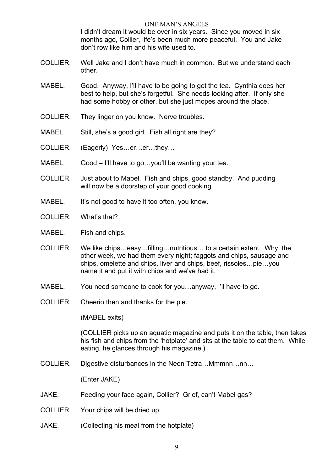ONE MAN'S ANGELS I didn't dream it would be over in six years. Since you moved in six months ago, Collier, life's been much more peaceful. You and Jake don't row like him and his wife used to.

- COLLIER. Well Jake and I don't have much in common. But we understand each other.
- MABEL. Good. Anyway, I'll have to be going to get the tea. Cynthia does her best to help, but she's forgetful. She needs looking after. If only she had some hobby or other, but she just mopes around the place.
- COLLIER. They linger on you know. Nerve troubles.
- MABEL. Still, she's a good girl. Fish all right are they?
- COLLIER. (Eagerly) Yes…er…er…they…
- MABEL. Good I'll have to go... you'll be wanting your tea.
- COLLIER. Just about to Mabel. Fish and chips, good standby. And pudding will now be a doorstep of your good cooking.
- MABEL. It's not good to have it too often, you know.
- COLLIER. What's that?
- MABEL. Fish and chips.
- COLLIER. We like chips…easy…filling…nutritious… to a certain extent. Why, the other week, we had them every night; faggots and chips, sausage and chips, omelette and chips, liver and chips, beef, rissoles…pie…you name it and put it with chips and we've had it.
- MABEL. You need someone to cook for you…anyway, I'll have to go.
- COLLIER. Cheerio then and thanks for the pie.

(MABEL exits)

(COLLIER picks up an aquatic magazine and puts it on the table, then takes his fish and chips from the 'hotplate' and sits at the table to eat them. While eating, he glances through his magazine.)

COLLIER. Digestive disturbances in the Neon Tetra…Mmmnn…nn…

(Enter JAKE)

- JAKE. Feeding your face again, Collier? Grief, can't Mabel gas?
- COLLIER. Your chips will be dried up.
- JAKE. (Collecting his meal from the hotplate)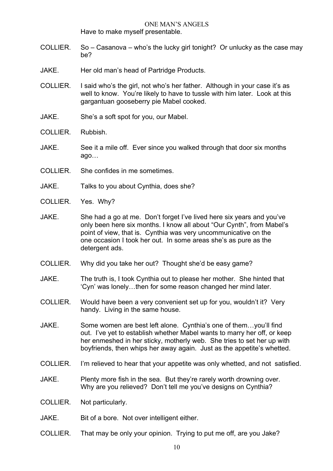Have to make myself presentable.

- COLLIER. So Casanova who's the lucky girl tonight? Or unlucky as the case may be?
- JAKE. Her old man's head of Partridge Products.
- COLLIER. I said who's the girl, not who's her father. Although in your case it's as well to know. You're likely to have to tussle with him later. Look at this gargantuan gooseberry pie Mabel cooked.
- JAKE. She's a soft spot for you, our Mabel.
- COLLIER. Rubbish.
- JAKE. See it a mile off. Ever since you walked through that door six months ago…
- COLLIER. She confides in me sometimes.
- JAKE. Talks to you about Cynthia, does she?
- COLLIER. Yes. Why?
- JAKE. She had a go at me. Don't forget I've lived here six years and you've only been here six months. I know all about "Our Cynth", from Mabel's point of view, that is. Cynthia was very uncommunicative on the one occasion I took her out. In some areas she's as pure as the detergent ads.
- COLLIER. Why did you take her out? Thought she'd be easy game?
- JAKE. The truth is, I took Cynthia out to please her mother. She hinted that 'Cyn' was lonely…then for some reason changed her mind later.
- COLLIER. Would have been a very convenient set up for you, wouldn't it? Very handy. Living in the same house.
- JAKE. Some women are best left alone. Cynthia's one of them…you'll find out. I've yet to establish whether Mabel wants to marry her off, or keep her enmeshed in her sticky, motherly web. She tries to set her up with boyfriends, then whips her away again. Just as the appetite's whetted.
- COLLIER. I'm relieved to hear that your appetite was only whetted, and not satisfied.
- JAKE. Plenty more fish in the sea. But they're rarely worth drowning over. Why are you relieved? Don't tell me you've designs on Cynthia?
- COLLIER. Not particularly.
- JAKE. Bit of a bore. Not over intelligent either.
- COLLIER. That may be only your opinion. Trying to put me off, are you Jake?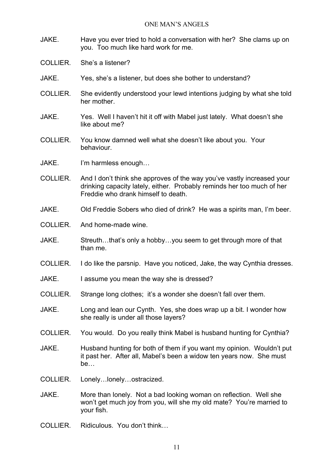- JAKE. Have you ever tried to hold a conversation with her? She clams up on you. Too much like hard work for me.
- COLLIER. She's a listener?
- JAKE. Yes, she's a listener, but does she bother to understand?
- COLLIER. She evidently understood your lewd intentions judging by what she told her mother.
- JAKE. Yes. Well I haven't hit it off with Mabel just lately. What doesn't she like about me?
- COLLIER. You know damned well what she doesn't like about you. Your behaviour.
- JAKE. I'm harmless enough...
- COLLIER. And I don't think she approves of the way you've vastly increased your drinking capacity lately, either. Probably reminds her too much of her Freddie who drank himself to death.
- JAKE. Old Freddie Sobers who died of drink? He was a spirits man, I'm beer.
- COLLIER. And home-made wine.
- JAKE. Streuth...that's only a hobby...you seem to get through more of that than me.
- COLLIER. I do like the parsnip. Have you noticed, Jake, the way Cynthia dresses.
- JAKE. I assume you mean the way she is dressed?
- COLLIER. Strange long clothes; it's a wonder she doesn't fall over them.
- JAKE. Long and lean our Cynth. Yes, she does wrap up a bit. I wonder how she really is under all those layers?
- COLLIER. You would. Do you really think Mabel is husband hunting for Cynthia?
- JAKE. Husband hunting for both of them if you want my opinion. Wouldn't put it past her. After all, Mabel's been a widow ten years now. She must be…
- COLLIER. Lonely…lonely…ostracized.
- JAKE. More than lonely. Not a bad looking woman on reflection. Well she won't get much joy from you, will she my old mate? You're married to your fish.
- COLLIER. Ridiculous. You don't think…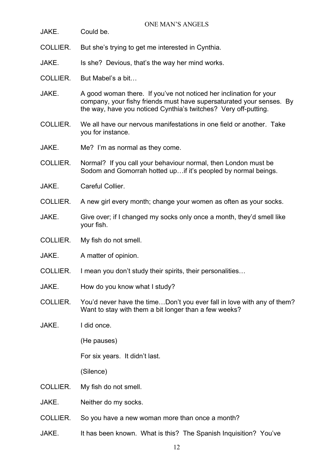| JAKE.    | Could be.                                                                                                                                                                                                     |
|----------|---------------------------------------------------------------------------------------------------------------------------------------------------------------------------------------------------------------|
| COLLIER. | But she's trying to get me interested in Cynthia.                                                                                                                                                             |
| JAKE.    | Is she? Devious, that's the way her mind works.                                                                                                                                                               |
| COLLIER. | But Mabel's a bit                                                                                                                                                                                             |
| JAKE.    | A good woman there. If you've not noticed her inclination for your<br>company, your fishy friends must have supersaturated your senses. By<br>the way, have you noticed Cynthia's twitches? Very off-putting. |
| COLLIER. | We all have our nervous manifestations in one field or another. Take<br>you for instance.                                                                                                                     |
| JAKE.    | Me? I'm as normal as they come.                                                                                                                                                                               |
| COLLIER. | Normal? If you call your behaviour normal, then London must be<br>Sodom and Gomorrah hotted up if it's peopled by normal beings.                                                                              |
| JAKE.    | Careful Collier.                                                                                                                                                                                              |
| COLLIER. | A new girl every month; change your women as often as your socks.                                                                                                                                             |
| JAKE.    | Give over; if I changed my socks only once a month, they'd smell like<br>your fish.                                                                                                                           |
| COLLIER. | My fish do not smell.                                                                                                                                                                                         |
| JAKE.    | A matter of opinion.                                                                                                                                                                                          |
| COLLIER. | I mean you don't study their spirits, their personalities                                                                                                                                                     |
| JAKE.    | How do you know what I study?                                                                                                                                                                                 |
| COLLIER. | You'd never have the timeDon't you ever fall in love with any of them?<br>Want to stay with them a bit longer than a few weeks?                                                                               |
| JAKE.    | I did once.                                                                                                                                                                                                   |
|          | (He pauses)                                                                                                                                                                                                   |
|          | For six years. It didn't last.                                                                                                                                                                                |
|          | (Silence)                                                                                                                                                                                                     |
| COLLIER. | My fish do not smell.                                                                                                                                                                                         |
| JAKE.    | Neither do my socks.                                                                                                                                                                                          |
| COLLIER. | So you have a new woman more than once a month?                                                                                                                                                               |
| JAKE.    | It has been known. What is this? The Spanish Inquisition? You've                                                                                                                                              |
|          |                                                                                                                                                                                                               |